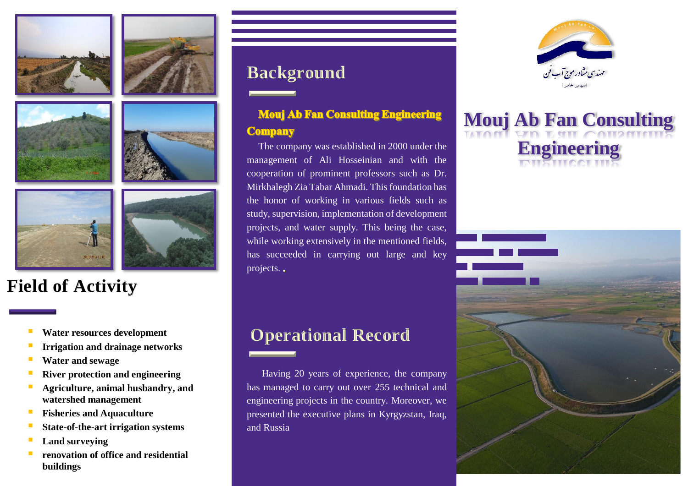









# **Field of Activity**

- **Water resources development**
- **Irrigation and drainage networks**
- **Water and sewage**
- **River protection and engineering**
- **Agriculture, animal husbandry, and watershed management**
- **Fisheries and Aquaculture**
- **State-of-the-art irrigation systems**
- **Land surveying**
- **renovation of office and residential buildings**

# **Background**

### **Mouj Ab Fan Consulting Engineering Company**

The company was established in 2000 under the management of Ali Hosseinian and with the cooperation of prominent professors such as Dr. Mirkhalegh Zia Tabar Ahmadi. This foundation has the honor of working in various fields such as study, supervision, implementation of development projects, and water supply. This being the case, while working extensively in the mentioned fields, has succeeded in carrying out large and key projects.

# **Operational Record**

Having 20 years of experience, the company has managed to carry out over 255 technical and engineering projects in the country. Moreover, we presented the executive plans in Kyrgyzstan, Iraq, and Russia



# **Mouj Ab Fan Consulting Engineering**